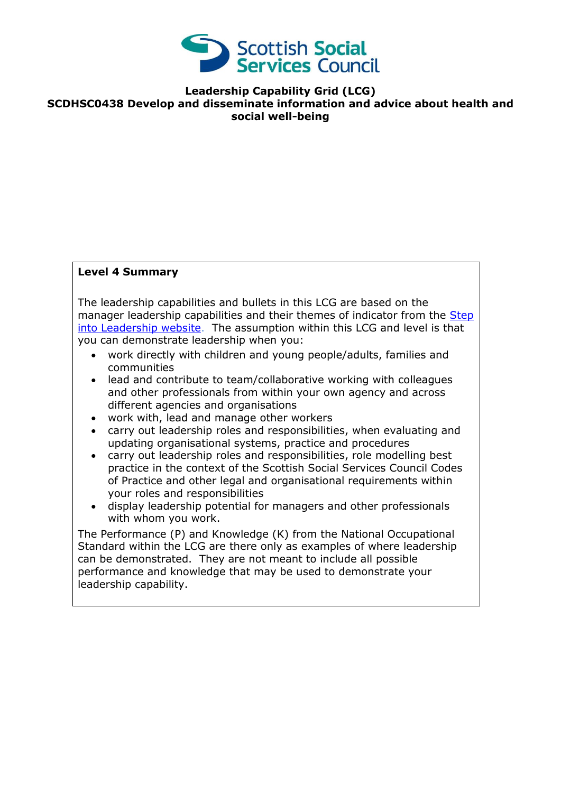

**Leadership Capability Grid (LCG) SCDHSC0438 Develop and disseminate information and advice about health and social well-being**

## **Level 4 Summary**

The leadership capabilities and bullets in this LCG are based on the manager leadership capabilities and their themes of indicator from the Step [into Leadership website.](http://www.stepintoleadership.info/index.html) The assumption within this LCG and level is that you can demonstrate leadership when you:

- work directly with children and young people/adults, families and communities
- lead and contribute to team/collaborative working with colleagues and other professionals from within your own agency and across different agencies and organisations
- work with, lead and manage other workers
- carry out leadership roles and responsibilities, when evaluating and updating organisational systems, practice and procedures
- carry out leadership roles and responsibilities, role modelling best practice in the context of the Scottish Social Services Council Codes of Practice and other legal and organisational requirements within your roles and responsibilities
- display leadership potential for managers and other professionals with whom you work.

The Performance (P) and Knowledge (K) from the National Occupational Standard within the LCG are there only as examples of where leadership can be demonstrated. They are not meant to include all possible performance and knowledge that may be used to demonstrate your leadership capability.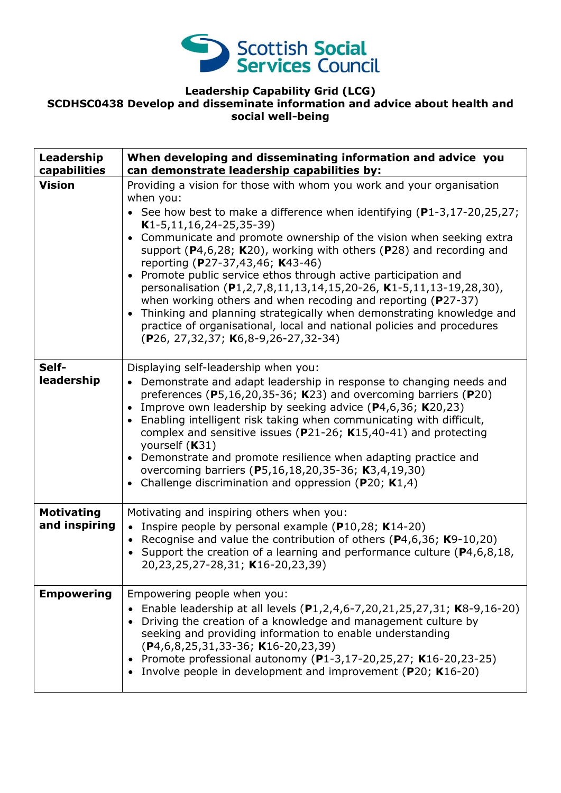

## **Leadership Capability Grid (LCG) SCDHSC0438 Develop and disseminate information and advice about health and social well-being**

| Leadership<br>capabilities         | When developing and disseminating information and advice you<br>can demonstrate leadership capabilities by:                                                                                                                                                                                                                                                                                                                                                                                                                                                                                                                                                                                                                                                                                                                   |
|------------------------------------|-------------------------------------------------------------------------------------------------------------------------------------------------------------------------------------------------------------------------------------------------------------------------------------------------------------------------------------------------------------------------------------------------------------------------------------------------------------------------------------------------------------------------------------------------------------------------------------------------------------------------------------------------------------------------------------------------------------------------------------------------------------------------------------------------------------------------------|
| <b>Vision</b>                      | Providing a vision for those with whom you work and your organisation<br>when you:<br>• See how best to make a difference when identifying $(P1-3, 17-20, 25, 27)$ ;<br>$K1-5, 11, 16, 24-25, 35-39)$<br>Communicate and promote ownership of the vision when seeking extra<br>٠<br>support ( $P$ 4,6,28; K20), working with others ( $P$ 28) and recording and<br>reporting (P27-37,43,46; K43-46)<br>Promote public service ethos through active participation and<br>$\bullet$<br>personalisation (P1,2,7,8,11,13,14,15,20-26, K1-5,11,13-19,28,30),<br>when working others and when recoding and reporting (P27-37)<br>Thinking and planning strategically when demonstrating knowledge and<br>$\bullet$<br>practice of organisational, local and national policies and procedures<br>(P26, 27,32,37; K6,8-9,26-27,32-34) |
| Self-<br>leadership                | Displaying self-leadership when you:<br>Demonstrate and adapt leadership in response to changing needs and<br>$\bullet$<br>preferences ( $P5,16,20,35-36$ ; K23) and overcoming barriers ( $P20$ )<br>Improve own leadership by seeking advice $(P4, 6, 36; K20, 23)$<br>Enabling intelligent risk taking when communicating with difficult,<br>$\bullet$<br>complex and sensitive issues ( $P$ 21-26; K15,40-41) and protecting<br>yourself (K31)<br>Demonstrate and promote resilience when adapting practice and<br>overcoming barriers (P5,16,18,20,35-36; K3,4,19,30)<br>Challenge discrimination and oppression ( $P20$ ; K1,4)<br>$\bullet$                                                                                                                                                                            |
| <b>Motivating</b><br>and inspiring | Motivating and inspiring others when you:<br>• Inspire people by personal example ( $P10,28$ ; K14-20)<br>Recognise and value the contribution of others ( $P4,6,36$ ; K9-10,20)<br>$\bullet$<br>• Support the creation of a learning and performance culture ( $P4, 6, 8, 18$ ,<br>20,23,25,27-28,31; K16-20,23,39)                                                                                                                                                                                                                                                                                                                                                                                                                                                                                                          |
| <b>Empowering</b>                  | Empowering people when you:<br>Enable leadership at all levels (P1,2,4,6-7,20,21,25,27,31; K8-9,16-20)<br>Driving the creation of a knowledge and management culture by<br>seeking and providing information to enable understanding<br>(P4,6,8,25,31,33-36; K16-20,23,39)<br>• Promote professional autonomy (P1-3,17-20,25,27; K16-20,23-25)<br>Involve people in development and improvement (P20; K16-20)                                                                                                                                                                                                                                                                                                                                                                                                                 |